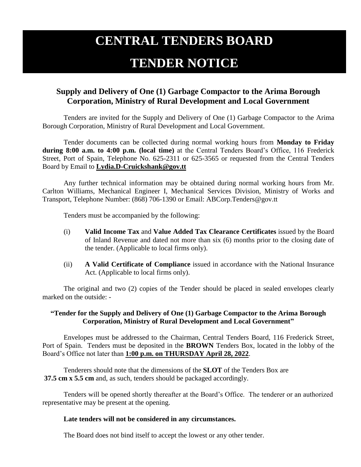## **CENTRAL TENDERS BOARD TENDER NOTICE**

## **Supply and Delivery of One (1) Garbage Compactor to the Arima Borough Corporation, Ministry of Rural Development and Local Government**

Tenders are invited for the Supply and Delivery of One (1) Garbage Compactor to the Arima Borough Corporation, Ministry of Rural Development and Local Government.

Tender documents can be collected during normal working hours from **Monday to Friday during 8:00 a.m. to 4:00 p.m. (local time)** at the Central Tenders Board's Office, 116 Frederick Street, Port of Spain, Telephone No. 625-2311 or 625-3565 or requested from the Central Tenders Board by Email to **Lydia.D-Cruickshank@gov.tt**

Any further technical information may be obtained during normal working hours from Mr. Carlton Williams, Mechanical Engineer I, Mechanical Services Division, Ministry of Works and Transport, Telephone Number: (868) 706-1390 or Email: ABCorp.Tenders@gov.tt

Tenders must be accompanied by the following:

- (i) **Valid Income Tax** and **Value Added Tax Clearance Certificates** issued by the Board of Inland Revenue and dated not more than six (6) months prior to the closing date of the tender. (Applicable to local firms only).
- (ii) **A Valid Certificate of Compliance** issued in accordance with the National Insurance Act. (Applicable to local firms only).

The original and two (2) copies of the Tender should be placed in sealed envelopes clearly marked on the outside: -

## **"Tender for the Supply and Delivery of One (1) Garbage Compactor to the Arima Borough Corporation, Ministry of Rural Development and Local Government"**

Envelopes must be addressed to the Chairman, Central Tenders Board, 116 Frederick Street, Port of Spain. Tenders must be deposited in the **BROWN** Tenders Box, located in the lobby of the Board's Office not later than **1:00 p.m. on THURSDAY April 28, 2022**.

Tenderers should note that the dimensions of the **SLOT** of the Tenders Box are **37.5 cm x 5.5 cm** and, as such, tenders should be packaged accordingly.

Tenders will be opened shortly thereafter at the Board's Office. The tenderer or an authorized representative may be present at the opening.

## **Late tenders will not be considered in any circumstances.**

The Board does not bind itself to accept the lowest or any other tender.